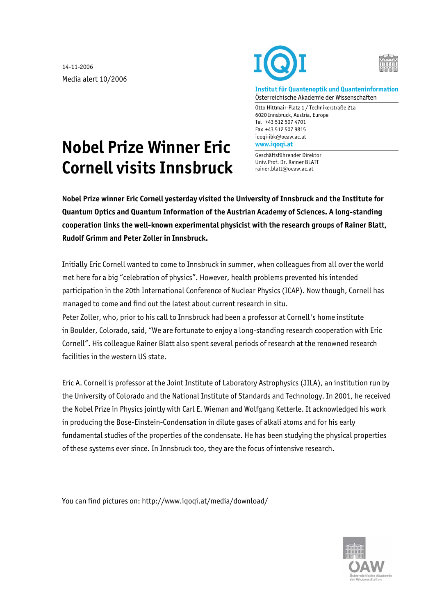14-11-2006 Media alert 10/2006





**Institut für Quantenoptik und Quanteninformation**  Österreichische Akademie der Wissenschaften

Otto Hittmair-Platz 1 / Technikerstraße 21a 6020 Innsbruck, Austria, Europe Tel +43 512 507 4701 Fax +43 512 507 9815 iqoqi-ibk@oeaw.ac.at **www.iqoqi.at** 

Geschäftsführender Direktor Univ.Prof. Dr. Rainer BLATT rainer.blatt@oeaw.ac.at

## **Nobel Prize Winner Eric Cornell visits Innsbruck**

**Nobel Prize winner Eric Cornell yesterday visited the University of Innsbruck and the Institute for Quantum Optics and Quantum Information of the Austrian Academy of Sciences. A long-standing cooperation links the well-known experimental physicist with the research groups of Rainer Blatt, Rudolf Grimm and Peter Zoller in Innsbruck.** 

Initially Eric Cornell wanted to come to Innsbruck in summer, when colleagues from all over the world met here for a big "celebration of physics". However, health problems prevented his intended participation in the 20th International Conference of Nuclear Physics (ICAP). Now though, Cornell has managed to come and find out the latest about current research in situ. Peter Zoller, who, prior to his call to Innsbruck had been a professor at Cornell's home institute in Boulder, Colorado, said, "We are fortunate to enjoy a long-standing research cooperation with Eric Cornell". His colleague Rainer Blatt also spent several periods of research at the renowned research facilities in the western US state.

Eric A. Cornell is professor at the Joint Institute of Laboratory Astrophysics (JILA), an institution run by the University of Colorado and the National Institute of Standards and Technology. In 2001, he received the Nobel Prize in Physics jointly with Carl E. Wieman and Wolfgang Ketterle. It acknowledged his work in producing the Bose-Einstein-Condensation in dilute gases of alkali atoms and for his early fundamental studies of the properties of the condensate. He has been studying the physical properties of these systems ever since. In Innsbruck too, they are the focus of intensive research.

You can find pictures on: http://www.iqoqi.at/media/download/